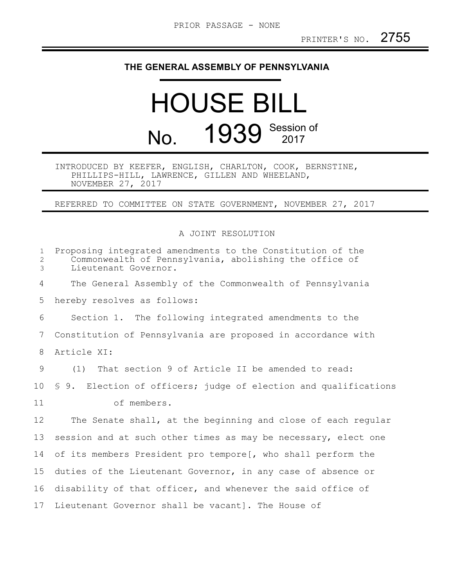## **THE GENERAL ASSEMBLY OF PENNSYLVANIA**

## HOUSE BILL No. 1939 Session of

INTRODUCED BY KEEFER, ENGLISH, CHARLTON, COOK, BERNSTINE, PHILLIPS-HILL, LAWRENCE, GILLEN AND WHEELAND, NOVEMBER 27, 2017

REFERRED TO COMMITTEE ON STATE GOVERNMENT, NOVEMBER 27, 2017

## A JOINT RESOLUTION

| $\mathbf{1}$<br>$\mathbf{2}$<br>$\mathfrak{Z}$ | Proposing integrated amendments to the Constitution of the<br>Commonwealth of Pennsylvania, abolishing the office of<br>Lieutenant Governor. |
|------------------------------------------------|----------------------------------------------------------------------------------------------------------------------------------------------|
| 4                                              | The General Assembly of the Commonwealth of Pennsylvania                                                                                     |
| 5                                              | hereby resolves as follows:                                                                                                                  |
| 6                                              | Section 1. The following integrated amendments to the                                                                                        |
| 7                                              | Constitution of Pennsylvania are proposed in accordance with                                                                                 |
| 8                                              | Article XI:                                                                                                                                  |
| 9                                              | (1) That section 9 of Article II be amended to read:                                                                                         |
| 10                                             | \$ 9. Election of officers; judge of election and qualifications                                                                             |
| 11                                             | of members.                                                                                                                                  |
| $12 \,$                                        | The Senate shall, at the beginning and close of each regular                                                                                 |
| 13                                             | session and at such other times as may be necessary, elect one                                                                               |
| 14                                             | of its members President pro tempore [, who shall perform the                                                                                |
| 15                                             | duties of the Lieutenant Governor, in any case of absence or                                                                                 |
| 16                                             | disability of that officer, and whenever the said office of                                                                                  |
| 17                                             | Lieutenant Governor shall be vacant]. The House of                                                                                           |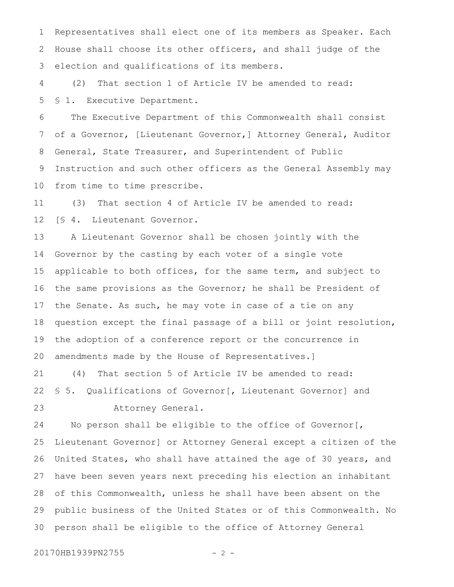Representatives shall elect one of its members as Speaker. Each House shall choose its other officers, and shall judge of the election and qualifications of its members. 1 2 3

(2) That section 1 of Article IV be amended to read: § 1. Executive Department. 4 5

The Executive Department of this Commonwealth shall consist of a Governor, [Lieutenant Governor,] Attorney General, Auditor General, State Treasurer, and Superintendent of Public Instruction and such other officers as the General Assembly may from time to time prescribe. 6 7 8 9 10

(3) That section 4 of Article IV be amended to read: [§ 4. Lieutenant Governor. 11 12

A Lieutenant Governor shall be chosen jointly with the Governor by the casting by each voter of a single vote applicable to both offices, for the same term, and subject to the same provisions as the Governor; he shall be President of the Senate. As such, he may vote in case of a tie on any question except the final passage of a bill or joint resolution, the adoption of a conference report or the concurrence in amendments made by the House of Representatives.] 13 14 15 16 17 18 19 20

(4) That section 5 of Article IV be amended to read: § 5. Qualifications of Governor[, Lieutenant Governor] and Attorney General. 21 22 23

No person shall be eligible to the office of Governor[, Lieutenant Governor] or Attorney General except a citizen of the United States, who shall have attained the age of 30 years, and have been seven years next preceding his election an inhabitant of this Commonwealth, unless he shall have been absent on the public business of the United States or of this Commonwealth. No person shall be eligible to the office of Attorney General 24 25 26 27 28 29 30

20170HB1939PN2755 - 2 -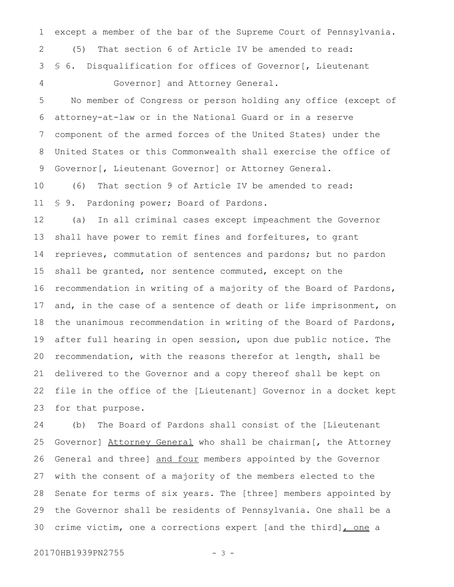except a member of the bar of the Supreme Court of Pennsylvania. (5) That section 6 of Article IV be amended to read: § 6. Disqualification for offices of Governor [, Lieutenant Governor] and Attorney General. 1 2 3 4

No member of Congress or person holding any office (except of attorney-at-law or in the National Guard or in a reserve component of the armed forces of the United States) under the United States or this Commonwealth shall exercise the office of Governor[, Lieutenant Governor] or Attorney General. 5 6 7 8 9

(6) That section 9 of Article IV be amended to read: § 9. Pardoning power; Board of Pardons. 10 11

(a) In all criminal cases except impeachment the Governor shall have power to remit fines and forfeitures, to grant reprieves, commutation of sentences and pardons; but no pardon shall be granted, nor sentence commuted, except on the recommendation in writing of a majority of the Board of Pardons, and, in the case of a sentence of death or life imprisonment, on the unanimous recommendation in writing of the Board of Pardons, after full hearing in open session, upon due public notice. The recommendation, with the reasons therefor at length, shall be delivered to the Governor and a copy thereof shall be kept on file in the office of the [Lieutenant] Governor in a docket kept for that purpose. 12 13 14 15 16 17 18 19 20 21 22 23

(b) The Board of Pardons shall consist of the [Lieutenant Governor] Attorney General who shall be chairman [, the Attorney General and three] and four members appointed by the Governor with the consent of a majority of the members elected to the Senate for terms of six years. The [three] members appointed by the Governor shall be residents of Pennsylvania. One shall be a crime victim, one a corrections expert [and the third], one a 24 25 26 27 28 29 30

20170HB1939PN2755 - 3 -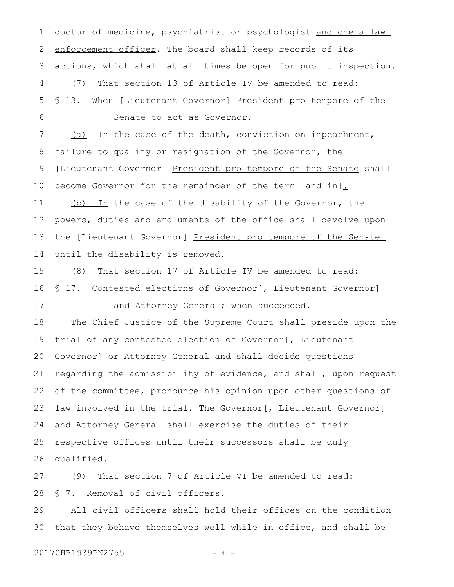doctor of medicine, psychiatrist or psychologist and one a law enforcement officer. The board shall keep records of its actions, which shall at all times be open for public inspection. (7) That section 13 of Article IV be amended to read: § 13. When [Lieutenant Governor] President pro tempore of the Senate to act as Governor. 1 2 3 4 5 6

(a) In the case of the death, conviction on impeachment, failure to qualify or resignation of the Governor, the [Lieutenant Governor] President pro tempore of the Senate shall become Governor for the remainder of the term [and in]. (b) In the case of the disability of the Governor, the powers, duties and emoluments of the office shall devolve upon the [Lieutenant Governor] President pro tempore of the Senate until the disability is removed. 7 8 9 10 11 12 13 14

(8) That section 17 of Article IV be amended to read: § 17. Contested elections of Governor [, Lieutenant Governor] and Attorney General; when succeeded. 15 16 17

The Chief Justice of the Supreme Court shall preside upon the trial of any contested election of Governor[, Lieutenant Governor] or Attorney General and shall decide questions regarding the admissibility of evidence, and shall, upon request of the committee, pronounce his opinion upon other questions of law involved in the trial. The Governor[, Lieutenant Governor] and Attorney General shall exercise the duties of their respective offices until their successors shall be duly qualified. 18 19 20 21 22 23 24 25 26

(9) That section 7 of Article VI be amended to read: § 7. Removal of civil officers. 27 28

All civil officers shall hold their offices on the condition that they behave themselves well while in office, and shall be 29 30

20170HB1939PN2755 - 4 -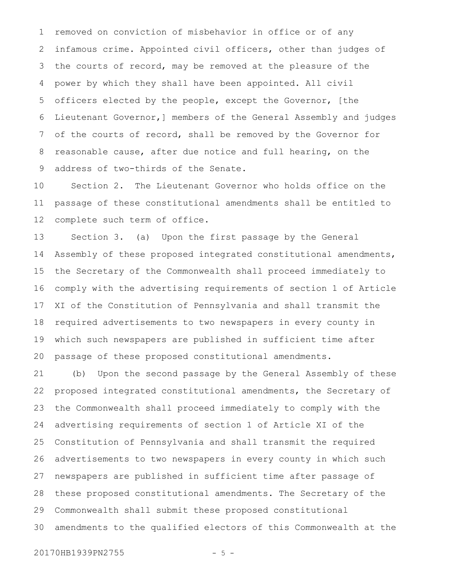removed on conviction of misbehavior in office or of any infamous crime. Appointed civil officers, other than judges of the courts of record, may be removed at the pleasure of the power by which they shall have been appointed. All civil officers elected by the people, except the Governor, [the Lieutenant Governor,] members of the General Assembly and judges of the courts of record, shall be removed by the Governor for reasonable cause, after due notice and full hearing, on the address of two-thirds of the Senate. 1 2 3 4 5 6 7 8 9

Section 2. The Lieutenant Governor who holds office on the passage of these constitutional amendments shall be entitled to complete such term of office. 10 11 12

Section 3. (a) Upon the first passage by the General Assembly of these proposed integrated constitutional amendments, the Secretary of the Commonwealth shall proceed immediately to comply with the advertising requirements of section 1 of Article XI of the Constitution of Pennsylvania and shall transmit the required advertisements to two newspapers in every county in which such newspapers are published in sufficient time after passage of these proposed constitutional amendments. 13 14 15 16 17 18 19 20

(b) Upon the second passage by the General Assembly of these proposed integrated constitutional amendments, the Secretary of the Commonwealth shall proceed immediately to comply with the advertising requirements of section 1 of Article XI of the Constitution of Pennsylvania and shall transmit the required advertisements to two newspapers in every county in which such newspapers are published in sufficient time after passage of these proposed constitutional amendments. The Secretary of the Commonwealth shall submit these proposed constitutional amendments to the qualified electors of this Commonwealth at the 21 22 23 24 25 26 27 28 29 30

20170HB1939PN2755 - 5 -